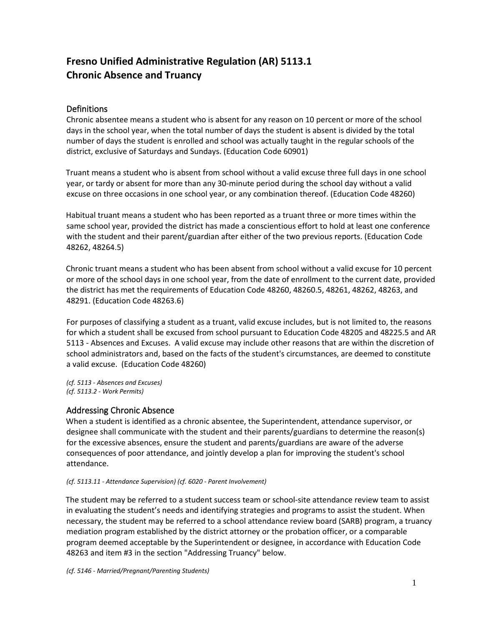# **Fresno Unified Administrative Regulation (AR) 5113.1 Chronic Absence and Truancy**

## **Definitions**

Chronic absentee means a student who is absent for any reason on 10 percent or more of the school days in the school year, when the total number of days the student is absent is divided by the total number of days the student is enrolled and school was actually taught in the regular schools of the district, exclusive of Saturdays and Sundays. (Education Code 60901)

Truant means a student who is absent from school without a valid excuse three full days in one school year, or tardy or absent for more than any 30-minute period during the school day without a valid excuse on three occasions in one school year, or any combination thereof. (Education Code 48260)

Habitual truant means a student who has been reported as a truant three or more times within the same school year, provided the district has made a conscientious effort to hold at least one conference with the student and their parent/guardian after either of the two previous reports. (Education Code 48262, 48264.5)

Chronic truant means a student who has been absent from school without a valid excuse for 10 percent or more of the school days in one school year, from the date of enrollment to the current date, provided the district has met the requirements of Education Code 48260, 48260.5, 48261, 48262, 48263, and 48291. (Education Code 48263.6)

For purposes of classifying a student as a truant, valid excuse includes, but is not limited to, the reasons for which a student shall be excused from school pursuant to Education Code 48205 and 48225.5 and AR 5113 - Absences and Excuses. A valid excuse may include other reasons that are within the discretion of school administrators and, based on the facts of the student's circumstances, are deemed to constitute a valid excuse. (Education Code 48260)

*(cf. 5113 - Absences and Excuses) (cf. 5113.2 - Work Permits)*

## Addressing Chronic Absence

When a student is identified as a chronic absentee, the Superintendent, attendance supervisor, or designee shall communicate with the student and their parents/guardians to determine the reason(s) for the excessive absences, ensure the student and parents/guardians are aware of the adverse consequences of poor attendance, and jointly develop a plan for improving the student's school attendance.

#### *(cf. 5113.11 - Attendance Supervision) (cf. 6020 - Parent Involvement)*

The student may be referred to a student success team or school-site attendance review team to assist in evaluating the student's needs and identifying strategies and programs to assist the student. When necessary, the student may be referred to a school attendance review board (SARB) program, a truancy mediation program established by the district attorney or the probation officer, or a comparable program deemed acceptable by the Superintendent or designee, in accordance with Education Code 48263 and item #3 in the section "Addressing Truancy" below.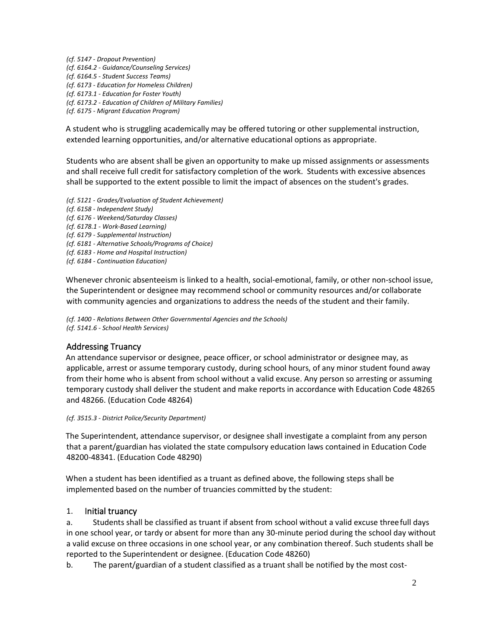*(cf. 5147 - Dropout Prevention) (cf. 6164.2 - Guidance/Counseling Services) (cf. 6164.5 - Student Success Teams) (cf. 6173 - Education for Homeless Children) (cf. 6173.1 - Education for Foster Youth) (cf. 6173.2 - Education of Children of Military Families) (cf. 6175 - Migrant Education Program)*

A student who is struggling academically may be offered tutoring or other supplemental instruction, extended learning opportunities, and/or alternative educational options as appropriate.

Students who are absent shall be given an opportunity to make up missed assignments or assessments and shall receive full credit for satisfactory completion of the work. Students with excessive absences shall be supported to the extent possible to limit the impact of absences on the student's grades.

*(cf. 5121 - Grades/Evaluation of Student Achievement) (cf. 6158 - Independent Study) (cf. 6176 - Weekend/Saturday Classes) (cf. 6178.1 - Work-Based Learning) (cf. 6179 - Supplemental Instruction) (cf. 6181 - Alternative Schools/Programs of Choice) (cf. 6183 - Home and Hospital Instruction) (cf. 6184 - Continuation Education)*

Whenever chronic absenteeism is linked to a health, social-emotional, family, or other non-school issue, the Superintendent or designee may recommend school or community resources and/or collaborate with community agencies and organizations to address the needs of the student and their family.

*(cf. 1400 - Relations Between Other Governmental Agencies and the Schools) (cf. 5141.6 - School Health Services)*

## Addressing Truancy

An attendance supervisor or designee, peace officer, or school administrator or designee may, as applicable, arrest or assume temporary custody, during school hours, of any minor student found away from their home who is absent from school without a valid excuse. Any person so arresting or assuming temporary custody shall deliver the student and make reports in accordance with Education Code 48265 and 48266. (Education Code 48264)

*(cf. 3515.3 - District Police/Security Department)*

The Superintendent, attendance supervisor, or designee shall investigate a complaint from any person that a parent/guardian has violated the state compulsory education laws contained in Education Code 48200-48341. (Education Code 48290)

When a student has been identified as a truant as defined above, the following steps shall be implemented based on the number of truancies committed by the student:

### 1. Initial truancy

a. Students shall be classified as truant if absent from school without a valid excuse threefull days in one school year, or tardy or absent for more than any 30-minute period during the school day without a valid excuse on three occasions in one school year, or any combination thereof. Such students shall be reported to the Superintendent or designee. (Education Code 48260)

b. The parent/guardian of a student classified as a truant shall be notified by the most cost-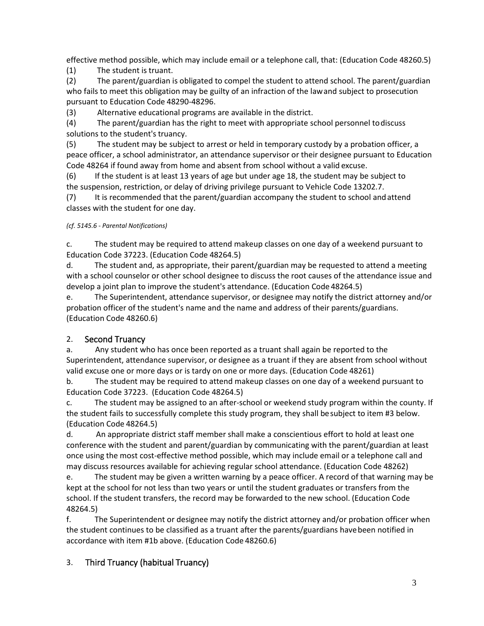effective method possible, which may include email or a telephone call, that: (Education Code 48260.5)

(1) The student is truant.

(2) The parent/guardian is obligated to compel the student to attend school. The parent/guardian who fails to meet this obligation may be guilty of an infraction of the lawand subject to prosecution pursuant to Education Code 48290-48296.

(3) Alternative educational programs are available in the district.

(4) The parent/guardian has the right to meet with appropriate school personnel todiscuss solutions to the student's truancy.

(5) The student may be subject to arrest or held in temporary custody by a probation officer, a peace officer, a school administrator, an attendance supervisor or their designee pursuant to Education Code 48264 if found away from home and absent from school without a valid excuse.

(6) If the student is at least 13 years of age but under age 18, the student may be subject to the suspension, restriction, or delay of driving privilege pursuant to Vehicle Code 13202.7.

(7) It is recommended that the parent/guardian accompany the student to school andattend classes with the student for one day.

## *(cf. 5145.6 - Parental Notifications)*

c. The student may be required to attend makeup classes on one day of a weekend pursuant to Education Code 37223. (Education Code 48264.5)

d. The student and, as appropriate, their parent/guardian may be requested to attend a meeting with a school counselor or other school designee to discuss the root causes of the attendance issue and develop a joint plan to improve the student's attendance. (Education Code 48264.5)

e. The Superintendent, attendance supervisor, or designee may notify the district attorney and/or probation officer of the student's name and the name and address of their parents/guardians. (Education Code 48260.6)

# 2. Second Truancy

a. Any student who has once been reported as a truant shall again be reported to the Superintendent, attendance supervisor, or designee as a truant if they are absent from school without valid excuse one or more days or is tardy on one or more days. (Education Code 48261)

b. The student may be required to attend makeup classes on one day of a weekend pursuant to Education Code 37223. (Education Code 48264.5)

c. The student may be assigned to an after-school or weekend study program within the county. If the student fails to successfully complete this study program, they shall besubject to item #3 below. (Education Code 48264.5)

d. An appropriate district staff member shall make a conscientious effort to hold at least one conference with the student and parent/guardian by communicating with the parent/guardian at least once using the most cost-effective method possible, which may include email or a telephone call and may discuss resources available for achieving regular school attendance. (Education Code 48262)

e. The student may be given a written warning by a peace officer. A record of that warning may be kept at the school for not less than two years or until the student graduates or transfers from the school. If the student transfers, the record may be forwarded to the new school. (Education Code 48264.5)

f. The Superintendent or designee may notify the district attorney and/or probation officer when the student continues to be classified as a truant after the parents/guardians havebeen notified in accordance with item #1b above. (Education Code 48260.6)

# 3. Third Truancy (habitual Truancy)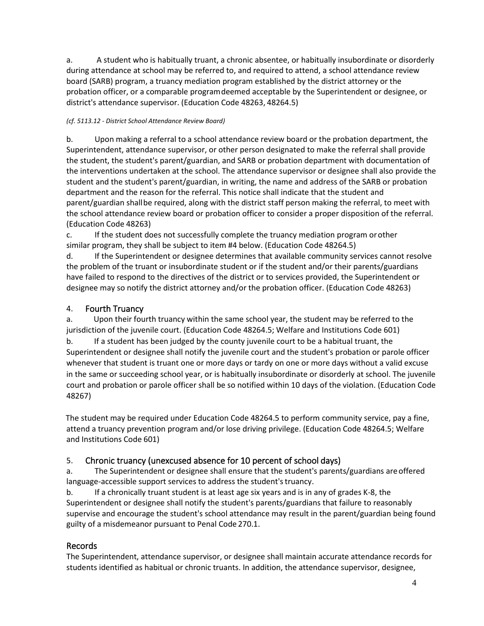a. A student who is habitually truant, a chronic absentee, or habitually insubordinate or disorderly during attendance at school may be referred to, and required to attend, a school attendance review board (SARB) program, a truancy mediation program established by the district attorney or the probation officer, or a comparable programdeemed acceptable by the Superintendent or designee, or district's attendance supervisor. (Education Code 48263, 48264.5)

#### *(cf. 5113.12 - District School Attendance Review Board)*

b. Upon making a referral to a school attendance review board or the probation department, the Superintendent, attendance supervisor, or other person designated to make the referral shall provide the student, the student's parent/guardian, and SARB or probation department with documentation of the interventions undertaken at the school. The attendance supervisor or designee shall also provide the student and the student's parent/guardian, in writing, the name and address of the SARB or probation department and the reason for the referral. This notice shall indicate that the student and parent/guardian shallbe required, along with the district staff person making the referral, to meet with the school attendance review board or probation officer to consider a proper disposition of the referral. (Education Code 48263)

c. If the student does not successfully complete the truancy mediation program orother similar program, they shall be subject to item #4 below. (Education Code 48264.5)

d. If the Superintendent or designee determines that available community services cannot resolve the problem of the truant or insubordinate student or if the student and/or their parents/guardians have failed to respond to the directives of the district or to services provided, the Superintendent or designee may so notify the district attorney and/or the probation officer. (Education Code 48263)

### 4. Fourth Truancy

a. Upon their fourth truancy within the same school year, the student may be referred to the jurisdiction of the juvenile court. (Education Code 48264.5; Welfare and Institutions Code 601)

b. If a student has been judged by the county juvenile court to be a habitual truant, the Superintendent or designee shall notify the juvenile court and the student's probation or parole officer whenever that student is truant one or more days or tardy on one or more days without a valid excuse in the same or succeeding school year, or is habitually insubordinate or disorderly at school. The juvenile court and probation or parole officer shall be so notified within 10 days of the violation. (Education Code 48267)

The student may be required under Education Code 48264.5 to perform community service, pay a fine, attend a truancy prevention program and/or lose driving privilege. (Education Code 48264.5; Welfare and Institutions Code 601)

## 5. Chronic truancy (unexcused absence for 10 percent of school days)

a. The Superintendent or designee shall ensure that the student's parents/guardians areoffered language-accessible support services to address the student's truancy.

b. If a chronically truant student is at least age six years and is in any of grades K-8, the Superintendent or designee shall notify the student's parents/guardians that failure to reasonably supervise and encourage the student's school attendance may result in the parent/guardian being found guilty of a misdemeanor pursuant to Penal Code 270.1.

## Records

The Superintendent, attendance supervisor, or designee shall maintain accurate attendance records for students identified as habitual or chronic truants. In addition, the attendance supervisor, designee,